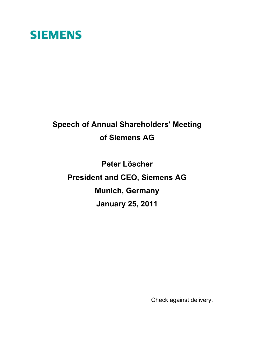# **SIEMENS**

# **Speech of Annual Shareholders' Meeting of Siemens AG**

**Peter Löscher President and CEO, Siemens AG Munich, Germany January 25, 2011**

Check against delivery.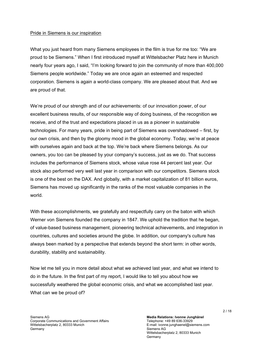### Pride in Siemens is our inspiration

What you just heard from many Siemens employees in the film is true for me too: "We are proud to be Siemens." When I first introduced myself at Wittelsbacher Platz here in Munich nearly four years ago, I said, "I'm looking forward to join the community of more than 400,000 Siemens people worldwide." Today we are once again an esteemed and respected corporation. Siemens is again a world-class company. We are pleased about that. And we are proud of that.

We're proud of our strength and of our achievements: of our innovation power, of our excellent business results, of our responsible way of doing business, of the recognition we receive, and of the trust and expectations placed in us as a pioneer in sustainable technologies. For many years, pride in being part of Siemens was overshadowed – first, by our own crisis, and then by the gloomy mood in the global economy. Today, we're at peace with ourselves again and back at the top. We're back where Siemens belongs. As our owners, you too can be pleased by your company's success, just as we do. That success includes the performance of Siemens stock, whose value rose 44 percent last year. Our stock also performed very well last year in comparison with our competitors. Siemens stock is one of the best on the DAX. And globally, with a market capitalization of 81 billion euros, Siemens has moved up significantly in the ranks of the most valuable companies in the world.

With these accomplishments, we gratefully and respectfully carry on the baton with which Werner von Siemens founded the company in 1847. We uphold the tradition that he began, of value-based business management, pioneering technical achievements, and integration in countries, cultures and societies around the globe. In addition, our company's culture has always been marked by a perspective that extends beyond the short term: in other words, durability, stability and sustainability.

Now let me tell you in more detail about what we achieved last year, and what we intend to do in the future. In the first part of my report, I would like to tell you about how we successfully weathered the global economic crisis, and what we accomplished last year. What can we be proud of?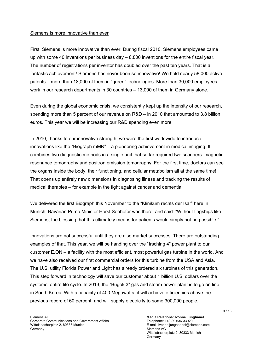#### Siemens is more innovative than ever

First, Siemens is more innovative than ever: During fiscal 2010, Siemens employees came up with some 40 inventions per business day  $-8,800$  inventions for the entire fiscal year. The number of registrations per inventor has doubled over the past ten years. That is a fantastic achievement! Siemens has never been so innovative! We hold nearly 58,000 active patents – more than 18,000 of them in "green" technologies. More than 30,000 employees work in our research departments in 30 countries – 13,000 of them in Germany alone.

Even during the global economic crisis, we consistently kept up the intensity of our research, spending more than 5 percent of our revenue on R&D – in 2010 that amounted to 3.8 billion euros. This year we will be increasing our R&D spending even more.

In 2010, thanks to our innovative strength, we were the first worldwide to introduce innovations like the "Biograph mMR" – a pioneering achievement in medical imaging. It combines two diagnostic methods in a single unit that so far required two scanners: magnetic resonance tomography and positron emission tomography. For the first time, doctors can see the organs inside the body, their functioning, and cellular metabolism all at the same time! That opens up entirely new dimensions in diagnosing illness and tracking the results of medical therapies – for example in the fight against cancer and dementia.

We delivered the first Biograph this November to the "Klinikum rechts der Isar" here in Munich. Bavarian Prime Minister Horst Seehofer was there, and said: "Without flagships like Siemens, the blessing that this ultimately means for patients would simply not be possible."

Innovations are not successful until they are also market successes. There are outstanding examples of that. This year, we will be handing over the "Irsching 4" power plant to our customer E.ON – a facility with the most efficient, most powerful gas turbine in the world. And we have also received our first commercial orders for this turbine from the USA and Asia. The U.S. utility Florida Power and Light has already ordered six turbines of this generation. This step forward in technology will save our customer about 1 billion U.S. dollars over the systems' entire life cycle. In 2013, the "Bugok 3" gas and steam power plant is to go on line in South Korea. With a capacity of 400 Megawatts, it will achieve efficiencies above the previous record of 60 percent, and will supply electricity to some 300,000 people.

**Media Relations: Ivonne Junghänel**  Telephone: +49 89 636-33929 E-mail: ivonne.junghaenel@siemens.com Siemens AG Wittelsbacherplatz 2, 80333 Munich Germany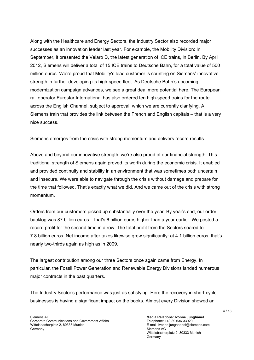Along with the Healthcare and Energy Sectors, the Industry Sector also recorded major successes as an innovation leader last year. For example, the Mobility Division: In September, it presented the Velaro D, the latest generation of ICE trains, in Berlin. By April 2012, Siemens will deliver a total of 15 ICE trains to Deutsche Bahn, for a total value of 500 million euros. We're proud that Mobility's lead customer is counting on Siemens' innovative strength in further developing its high-speed fleet. As Deutsche Bahn's upcoming modernization campaign advances, we see a great deal more potential here. The European rail operator Eurostar International has also ordered ten high-speed trains for the route across the English Channel, subject to approval, which we are currently clarifying. A Siemens train that provides the link between the French and English capitals – that is a very nice success.

# Siemens emerges from the crisis with strong momentum and delivers record results

Above and beyond our innovative strength, we're also proud of our financial strength. This traditional strength of Siemens again proved its worth during the economic crisis. It enabled and provided continuity and stability in an environment that was sometimes both uncertain and insecure. We were able to navigate through the crisis without damage and prepare for the time that followed. That's exactly what we did. And we came out of the crisis with strong momentum.

Orders from our customers picked up substantially over the year. By year's end, our order backlog was 87 billion euros – that's 6 billion euros higher than a year earlier. We posted a record profit for the second time in a row. The total profit from the Sectors soared to 7.8 billion euros. Net income after taxes likewise grew significantly: at 4.1 billion euros, that's nearly two-thirds again as high as in 2009.

The largest contribution among our three Sectors once again came from Energy. In particular, the Fossil Power Generation and Renewable Energy Divisions landed numerous major contracts in the past quarters.

The Industry Sector's performance was just as satisfying. Here the recovery in short-cycle businesses is having a significant impact on the books. Almost every Division showed an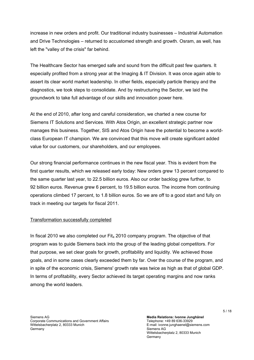increase in new orders and profit. Our traditional industry businesses – Industrial Automation and Drive Technologies – returned to accustomed strength and growth. Osram, as well, has left the "valley of the crisis" far behind.

The Healthcare Sector has emerged safe and sound from the difficult past few quarters. It especially profited from a strong year at the Imaging & IT Division. It was once again able to assert its clear world market leadership. In other fields, especially particle therapy and the diagnostics, we took steps to consolidate. And by restructuring the Sector, we laid the groundwork to take full advantage of our skills and innovation power here.

At the end of 2010, after long and careful consideration, we charted a new course for Siemens IT Solutions and Services. With Atos Origin, an excellent strategic partner now manages this business. Together, SIS and Atos Origin have the potential to become a worldclass European IT champion. We are convinced that this move will create significant added value for our customers, our shareholders, and our employees.

Our strong financial performance continues in the new fiscal year. This is evident from the first quarter results, which we released early today: New orders grew 13 percent compared to the same quarter last year, to 22.5 billion euros. Also our order backlog grew further, to 92 billion euros. Revenue grew 6 percent, to 19.5 billion euros. The income from continuing operations climbed 17 percent, to 1.8 billion euros. So we are off to a good start and fully on track in meeting our targets for fiscal 2011.

# Transformation successfully completed

In fiscal 2010 we also completed our Fit<sub>4</sub> 2010 company program. The objective of that program was to guide Siemens back into the group of the leading global competitors. For that purpose, we set clear goals for growth, profitability and liquidity. We achieved those goals, and in some cases clearly exceeded them by far. Over the course of the program, and in spite of the economic crisis, Siemens' growth rate was twice as high as that of global GDP. In terms of profitability, every Sector achieved its target operating margins and now ranks among the world leaders.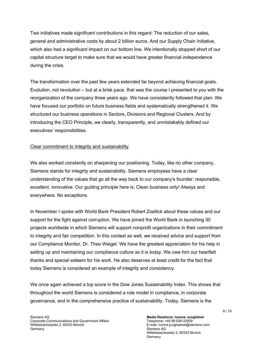Two initiatives made significant contributions in this regard: The reduction of our sales, general and administrative costs by about 2 billion euros. And our Supply Chain Initiative, which also had a significant impact on our bottom line. We intentionally stopped short of our capital structure target to make sure that we would have greater financial independence during the crisis.

The transformation over the past few years extended far beyond achieving financial goals. Evolution, not revolution – but at a brisk pace, that was the course I presented to you with the reorganization of the company three years ago. We have consistently followed that plan: We have focused our portfolio on future business fields and systematically strengthened it. We structured our business operations in Sectors, Divisions and Regional Clusters. And by introducing the CEO Principle, we clearly, transparently, and unmistakably defined our executives' responsibilities.

# Clear commitment to integrity and sustainability

We also worked constantly on sharpening our positioning. Today, like no other company, Siemens stands for integrity and sustainability. Siemens employees have a clear understanding of the values that go all the way back to our company's founder: responsible, excellent, innovative. Our guiding principle here is: Clean business only! Always and everywhere. No exceptions.

In November I spoke with World Bank President Robert Zoellick about these values and our support for the fight against corruption. We have joined the World Bank in launching 30 projects worldwide in which Siemens will support nonprofit organizations in their commitment to integrity and fair competition. In this context as well, we received advice and support from our Compliance Monitor, Dr. Theo Waigel. We have the greatest appreciation for his help in setting up and maintaining our compliance culture as it is today. We owe him our heartfelt thanks and special esteem for his work. He also deserves at least credit for the fact that today Siemens is considered an example of integrity and consistency.

We once again achieved a top score in the Dow Jones Sustainability Index. This shows that throughout the world Siemens is considered a role model in compliance, in corporate governance, and in the comprehensive practice of sustainability. Today, Siemens is the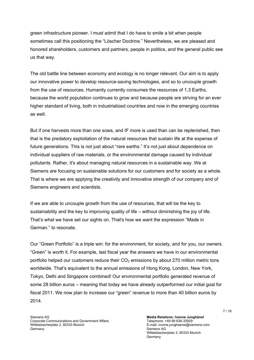green infrastructure pioneer. I must admit that I do have to smile a bit when people sometimes call this positioning the "Löscher Doctrine." Nevertheless, we are pleased and honored shareholders, customers and partners, people in politics, and the general public see us that way.

The old battle line between economy and ecology is no longer relevant. Our aim is to apply our innovative power to develop resource-saving technologies, and so to uncouple growth from the use of resources. Humanity currently consumes the resources of 1.3 Earths, because the world population continues to grow and because people are striving for an ever higher standard of living, both in industrialized countries and now in the emerging countries as well.

But if one harvests more than one sows, and IF more is used than can be replenished, then that is the predatory exploitation of the natural resources that sustain life at the expense of future generations. This is not just about "rare earths." It's not just about dependence on individual suppliers of raw materials, or the environmental damage caused by individual pollutants. Rather, it's about managing natural resources in a sustainable way. We at Siemens are focusing on sustainable solutions for our customers and for society as a whole. That is where we are applying the creativity and innovative strength of our company and of Siemens engineers and scientists.

If we are able to uncouple growth from the use of resources, that will be the key to sustainability and the key to improving quality of life – without diminishing the joy of life. That's what we have set our sights on. That's how we want the expression "Made in German." to resonate.

Our "Green Portfolio" is a triple win: for the environment, for society, and for you, our owners. "Green" is worth it. For example, last fiscal year the answers we have in our environmental portfolio helped our customers reduce their  $CO<sub>2</sub>$  emissions by about 270 million metric tons worldwide. That's equivalent to the annual emissions of Hong Kong, London, New York, Tokyo, Delhi and Singapore combined! Our environmental portfolio generated revenue of some 28 billion euros – meaning that today we have already outperformed our initial goal for fiscal 2011. We now plan to increase our "green" revenue to more than 40 billion euros by 2014.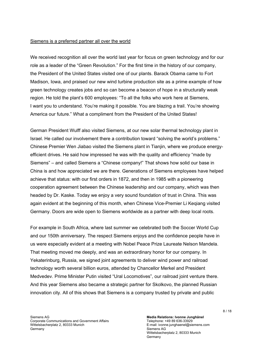#### Siemens is a preferred partner all over the world

We received recognition all over the world last year for focus on green technology and for our role as a leader of the "Green Revolution." For the first time in the history of our company, the President of the United States visited one of our plants. Barack Obama came to Fort Madison, Iowa, and praised our new wind turbine production site as a prime example of how green technology creates jobs and so can become a beacon of hope in a structurally weak region. He told the plant's 600 employees: "To all the folks who work here at Siemens, I want you to understand. You're making it possible. You are blazing a trail. You're showing America our future." What a compliment from the President of the United States!

German President Wulff also visited Siemens, at our new solar thermal technology plant in Israel. He called our involvement there a contribution toward "solving the world's problems." Chinese Premier Wen Jiabao visited the Siemens plant in Tianjin, where we produce energyefficient drives. He said how impressed he was with the quality and efficiency "made by Siemens" – and called Siemens a "Chinese company!" That shows how solid our base in China is and how appreciated we are there. Generations of Siemens employees have helped achieve that status: with our first orders in 1872, and then in 1985 with a pioneering cooperation agreement between the Chinese leadership and our company, which was then headed by Dr. Kaske. Today we enjoy a very sound foundation of trust in China. This was again evident at the beginning of this month, when Chinese Vice-Premier Li Keqiang visited Germany. Doors are wide open to Siemens worldwide as a partner with deep local roots.

For example in South Africa, where last summer we celebrated both the Soccer World Cup and our 150th anniversary. The respect Siemens enjoys and the confidence people have in us were especially evident at a meeting with Nobel Peace Prize Laureate Nelson Mandela. That meeting moved me deeply, and was an extraordinary honor for our company. In Yekaterinburg, Russia, we signed joint agreements to deliver wind power and railroad technology worth several billion euros, attended by Chancellor Merkel and President Medvedev. Prime Minister Putin visited "Ural Locomotives", our railroad joint venture there. And this year Siemens also became a strategic partner for Skolkovo, the planned Russian innovation city. All of this shows that Siemens is a company trusted by private and public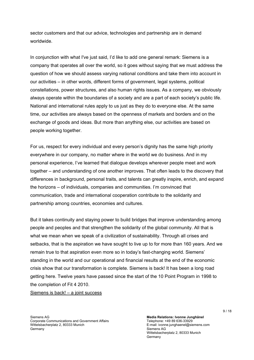sector customers and that our advice, technologies and partnership are in demand worldwide.

In conjunction with what I've just said, I'd like to add one general remark: Siemens is a company that operates all over the world, so it goes without saying that we must address the question of how we should assess varying national conditions and take them into account in our activities – in other words, different forms of government, legal systems, political constellations, power structures, and also human rights issues. As a company, we obviously always operate within the boundaries of a society and are a part of each society's public life. National and international rules apply to us just as they do to everyone else. At the same time, our activities are always based on the openness of markets and borders and on the exchange of goods and ideas. But more than anything else, our activities are based on people working together.

For us, respect for every individual and every person's dignity has the same high priority everywhere in our company, no matter where in the world we do business. And in my personal experience, I've learned that dialogue develops wherever people meet and work together – and understanding of one another improves. That often leads to the discovery that differences in background, personal traits, and talents can greatly inspire, enrich, and expand the horizons – of individuals, companies and communities. I'm convinced that communication, trade and international cooperation contribute to the solidarity and partnership among countries, economies and cultures.

But it takes continuity and staying power to build bridges that improve understanding among people and peoples and that strengthen the solidarity of the global community. All that is what we mean when we speak of a civilization of sustainability. Through all crises and setbacks, that is the aspiration we have sought to live up to for more than 160 years. And we remain true to that aspiration even more so in today's fast-changing world. Siemens' standing in the world and our operational and financial results at the end of the economic crisis show that our transformation is complete. Siemens is back! It has been a long road getting here. Twelve years have passed since the start of the 10 Point Program in 1998 to the completion of Fit 4 2010.

Siemens is back! – a joint success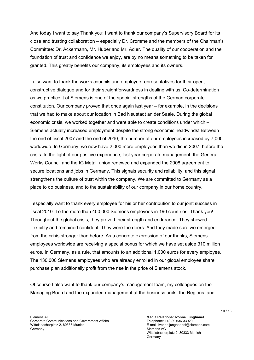And today I want to say Thank you: I want to thank our company's Supervisory Board for its close and trusting collaboration – especially Dr. Cromme and the members of the Chairman's Committee: Dr. Ackermann, Mr. Huber and Mr. Adler. The quality of our cooperation and the foundation of trust and confidence we enjoy, are by no means something to be taken for granted. This greatly benefits our company, its employees and its owners.

I also want to thank the works councils and employee representatives for their open, constructive dialogue and for their straightforwardness in dealing with us. Co-determination as we practice it at Siemens is one of the special strengths of the German corporate constitution. Our company proved that once again last year – for example, in the decisions that we had to make about our location in Bad Neustadt an der Saale. During the global economic crisis, we worked together and were able to create conditions under which – Siemens actually increased employment despite the strong economic headwinds! Between the end of fiscal 2007 and the end of 2010, the number of our employees increased by 7,000 worldwide. In Germany, we now have 2,000 more employees than we did in 2007, before the crisis. In the light of our positive experience, last year corporate management, the General Works Council and the IG Metall union renewed and expanded the 2008 agreement to secure locations and jobs in Germany. This signals security and reliability, and this signal strengthens the culture of trust within the company. We are committed to Germany as a place to do business, and to the sustainability of our company in our home country.

I especially want to thank every employee for his or her contribution to our joint success in fiscal 2010. To the more than 400,000 Siemens employees in 190 countries: Thank you! Throughout the global crisis, they proved their strength and endurance. They showed flexibility and remained confident. They were the doers. And they made sure we emerged from the crisis stronger than before. As a concrete expression of our thanks, Siemens employees worldwide are receiving a special bonus for which we have set aside 310 million euros. In Germany, as a rule, that amounts to an additional 1,000 euros for every employee. The 130,000 Siemens employees who are already enrolled in our global employee share purchase plan additionally profit from the rise in the price of Siemens stock.

Of course I also want to thank our company's management team, my colleagues on the Managing Board and the expanded management at the business units, the Regions, and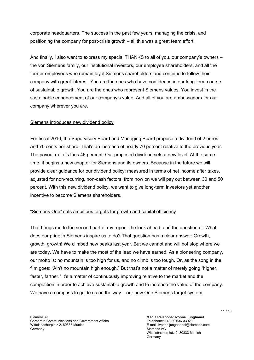corporate headquarters. The success in the past few years, managing the crisis, and positioning the company for post-crisis growth – all this was a great team effort.

And finally, I also want to express my special THANKS to all of you, our company's owners – the von Siemens family, our institutional investors, our employee shareholders, and all the former employees who remain loyal Siemens shareholders and continue to follow their company with great interest. You are the ones who have confidence in our long-term course of sustainable growth. You are the ones who represent Siemens values. You invest in the sustainable enhancement of our company's value. And all of you are ambassadors for our company wherever you are.

# Siemens introduces new dividend policy

For fiscal 2010, the Supervisory Board and Managing Board propose a dividend of 2 euros and 70 cents per share. That's an increase of nearly 70 percent relative to the previous year. The payout ratio is thus 46 percent. Our proposed dividend sets a new level. At the same time, it begins a new chapter for Siemens and its owners. Because in the future we will provide clear guidance for our dividend policy: measured in terms of net income after taxes, adjusted for non-recurring, non-cash factors, from now on we will pay out between 30 and 50 percent. With this new dividend policy, we want to give long-term investors yet another incentive to become Siemens shareholders.

# "Siemens One" sets ambitious targets for growth and capital efficiency

That brings me to the second part of my report: the look ahead, and the question of: What does our pride in Siemens inspire us to do? That question has a clear answer: Growth, growth, growth! We climbed new peaks last year. But we cannot and will not stop where we are today. We have to make the most of the lead we have earned. As a pioneering company, our motto is: no mountain is too high for us, and no climb is too tough. Or, as the song in the film goes: "Ain't no mountain high enough." But that's not a matter of merely going "higher, faster, farther." It's a matter of continuously improving relative to the market and the competition in order to achieve sustainable growth and to increase the value of the company. We have a compass to quide us on the way – our new One Siemens target system.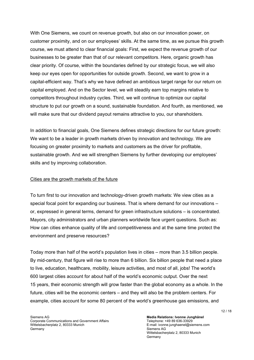With One Siemens, we count on revenue growth, but also on our innovation power, on customer proximity, and on our employees' skills. At the same time, as we pursue this growth course, we must attend to clear financial goals: First, we expect the revenue growth of our businesses to be greater than that of our relevant competitors. Here, organic growth has clear priority. Of course, within the boundaries defined by our strategic focus, we will also keep our eyes open for opportunities for outside growth. Second, we want to grow in a capital-efficient way. That's why we have defined an ambitious target range for our return on capital employed. And on the Sector level, we will steadily earn top margins relative to competitors throughout industry cycles. Third, we will continue to optimize our capital structure to put our growth on a sound, sustainable foundation. And fourth, as mentioned, we will make sure that our dividend payout remains attractive to you, our shareholders.

In addition to financial goals, One Siemens defines strategic directions for our future growth: We want to be a leader in growth markets driven by innovation and technology. We are focusing on greater proximity to markets and customers as the driver for profitable, sustainable growth. And we will strengthen Siemens by further developing our employees' skills and by improving collaboration.

### Cities are the growth markets of the future

To turn first to our innovation and technology-driven growth markets: We view cities as a special focal point for expanding our business. That is where demand for our innovations – or, expressed in general terms, demand for green infrastructure solutions – is concentrated. Mayors, city administrators and urban planners worldwide face urgent questions. Such as: How can cities enhance quality of life and competitiveness and at the same time protect the environment and preserve resources?

Today more than half of the world's population lives in cities – more than 3.5 billion people. By mid-century, that figure will rise to more than 6 billion. Six billion people that need a place to live, education, healthcare, mobility, leisure activities, and most of all, jobs! The world's 600 largest cities account for about half of the world's economic output. Over the next 15 years, their economic strength will grow faster than the global economy as a whole. In the future, cities will be the economic centers – and they will also be the problem centers. For example, cities account for some 80 percent of the world's greenhouse gas emissions, and

**Media Relations: Ivonne Junghänel**  Telephone: +49 89 636-33929 E-mail: ivonne.junghaenel@siemens.com Siemens AG Wittelsbacherplatz 2, 80333 Munich Germany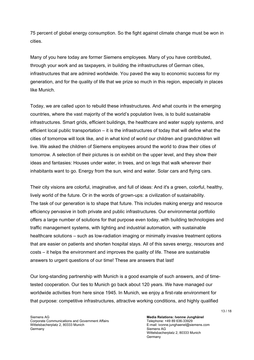75 percent of global energy consumption. So the fight against climate change must be won in cities.

Many of you here today are former Siemens employees. Many of you have contributed, through your work and as taxpayers, in building the infrastructures of German cities, infrastructures that are admired worldwide. You paved the way to economic success for my generation, and for the quality of life that we prize so much in this region, especially in places like Munich.

Today, we are called upon to rebuild these infrastructures. And what counts in the emerging countries, where the vast majority of the world's population lives, is to build sustainable infrastructures. Smart grids, efficient buildings, the healthcare and water supply systems, and efficient local public transportation – it is the infrastructures of today that will define what the cities of tomorrow will look like, and in what kind of world our children and grandchildren will live. We asked the children of Siemens employees around the world to draw their cities of tomorrow. A selection of their pictures is on exhibit on the upper level, and they show their ideas and fantasies: Houses under water, in trees, and on legs that walk wherever their inhabitants want to go. Energy from the sun, wind and water. Solar cars and flying cars.

Their city visions are colorful, imaginative, and full of ideas: And it's a green, colorful, healthy, lively world of the future. Or in the words of grown-ups: a civilization of sustainability. The task of our generation is to shape that future. This includes making energy and resource efficiency pervasive in both private and public infrastructures. Our environmental portfolio offers a large number of solutions for that purpose even today, with building technologies and traffic management systems, with lighting and industrial automation, with sustainable healthcare solutions – such as low-radiation imaging or minimally invasive treatment options that are easier on patients and shorten hospital stays. All of this saves energy, resources and costs – it helps the environment and improves the quality of life. These are sustainable answers to urgent questions of our time! These are answers that last!

Our long-standing partnership with Munich is a good example of such answers, and of timetested cooperation. Our ties to Munich go back about 120 years. We have managed our worldwide activities from here since 1945. In Munich, we enjoy a first-rate environment for that purpose: competitive infrastructures, attractive working conditions, and highly qualified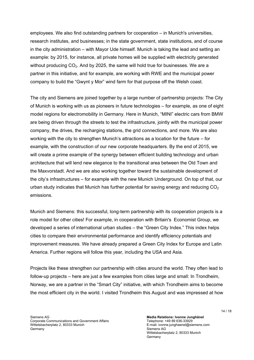employees. We also find outstanding partners for cooperation – in Munich's universities, research institutes, and businesses; in the state government, state institutions, and of course in the city administration – with Mayor Ude himself. Munich is taking the lead and setting an example: by 2015, for instance, all private homes will be supplied with electricity generated without producing  $CO<sub>2</sub>$ . And by 2025, the same will hold true for businesses. We are a partner in this initiative, and for example, are working with RWE and the municipal power company to build the "Gwynt y Mor" wind farm for that purpose off the Welsh coast.

The city and Siemens are joined together by a large number of partnership projects: The City of Munich is working with us as pioneers in future technologies – for example, as one of eight model regions for electromobility in Germany. Here in Munich, "MINI" electric cars from BMW are being driven through the streets to test the infrastructure, jointly with the municipal power company, the drives, the recharging stations, the grid connections, and more. We are also working with the city to strengthen Munich's attractions as a location for the future – for example, with the construction of our new corporate headquarters. By the end of 2015, we will create a prime example of the synergy between efficient building technology and urban architecture that will lend new elegance to the transitional area between the Old Town and the Maxvorstadt. And we are also working together toward the sustainable development of the city's infrastructures – for example with the new Munich Underground. On top of that, our urban study indicates that Munich has further potential for saving energy and reducing  $CO<sub>2</sub>$ emissions.

Munich and Siemens: this successful, long-term partnership with its cooperation projects is a role model for other cities! For example, in cooperation with Britain's Economist Group, we developed a series of international urban studies – the "Green City Index." This index helps cities to compare their environmental performance and identify efficiency potentials and improvement measures. We have already prepared a Green City Index for Europe and Latin America. Further regions will follow this year, including the USA and Asia.

Projects like these strengthen our partnership with cities around the world. They often lead to follow-up projects – here are just a few examples from cities large and small: In Trondheim, Norway, we are a partner in the "Smart City" initiative, with which Trondheim aims to become the most efficient city in the world. I visited Trondheim this August and was impressed at how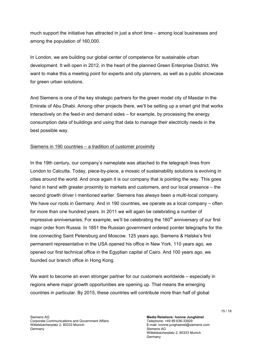much support the initiative has attracted in just a short time – among local businesses and among the population of 160,000.

In London, we are building our global center of competence for sustainable urban development. It will open in 2012, in the heart of the planned Green Enterprise District. We want to make this a meeting point for experts and city planners, as well as a public showcase for green urban solutions.

And Siemens is one of the key strategic partners for the green model city of Masdar in the Emirate of Abu Dhabi. Among other projects there, we'll be setting up a smart grid that works interactively on the feed-in and demand sides – for example, by processing the energy consumption data of buildings and using that data to manage their electricity needs in the best possible way.

# Siemens in 190 countries – a tradition of customer proximity

In the 19th century, our company's nameplate was attached to the telegraph lines from London to Calcutta. Today, piece-by-piece, a mosaic of sustainability solutions is evolving in cities around the world. And once again it is our company that is pointing the way. This goes hand in hand with greater proximity to markets and customers, and our local presence – the second growth driver I mentioned earlier. Siemens has always been a multi-local company. We have our roots in Germany. And in 190 countries, we operate as a local company – often for more than one hundred years. In 2011 we will again be celebrating a number of impressive anniversaries: For example, we'll be celebrating the  $160<sup>th</sup>$  anniversary of our first major order from Russia. In 1851 the Russian government ordered pointer telegraphs for the line connecting Saint Petersburg and Moscow. 125 years ago, Siemens & Halske's first permanent representative in the USA opened his office in New York. 110 years ago, we opened our first technical office in the Egyptian capital of Cairo. And 100 years ago, we founded our branch office in Hong Kong.

We want to become an even stronger partner for our customers worldwide – especially in regions where major growth opportunities are opening up. That means the emerging countries in particular. By 2015, these countries will contribute more than half of global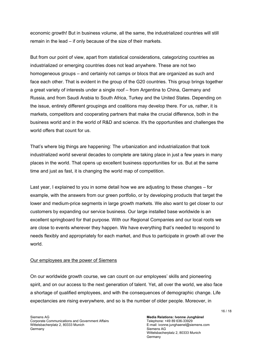economic growth! But in business volume, all the same, the industrialized countries will still remain in the lead – if only because of the size of their markets.

But from our point of view, apart from statistical considerations, categorizing countries as industrialized or emerging countries does not lead anywhere. These are not two homogeneous groups – and certainly not camps or blocs that are organized as such and face each other. That is evident in the group of the G20 countries. This group brings together a great variety of interests under a single roof – from Argentina to China, Germany and Russia, and from Saudi Arabia to South Africa, Turkey and the United States. Depending on the issue, entirely different groupings and coalitions may develop there. For us, rather, it is markets, competitors and cooperating partners that make the crucial difference, both in the business world and in the world of R&D and science. It's the opportunities and challenges the world offers that count for us.

That's where big things are happening: The urbanization and industrialization that took industrialized world several decades to complete are taking place in just a few years in many places in the world. That opens up excellent business opportunities for us. But at the same time and just as fast, it is changing the world map of competition.

Last year, I explained to you in some detail how we are adjusting to these changes – for example, with the answers from our green portfolio, or by developing products that target the lower and medium-price segments in large growth markets. We also want to get closer to our customers by expanding our service business. Our large installed base worldwide is an excellent springboard for that purpose. With our Regional Companies and our local roots we are close to events wherever they happen. We have everything that's needed to respond to needs flexibly and appropriately for each market, and thus to participate in growth all over the world.

## Our employees are the power of Siemens

On our worldwide growth course, we can count on our employees' skills and pioneering spirit, and on our access to the next generation of talent. Yet, all over the world, we also face a shortage of qualified employees, and with the consequences of demographic change. Life expectancies are rising everywhere, and so is the number of older people. Moreover, in

**Media Relations: Ivonne Junghänel**  Telephone: +49 89 636-33929 E-mail: ivonne.junghaenel@siemens.com Siemens AG Wittelsbacherplatz 2, 80333 Munich Germany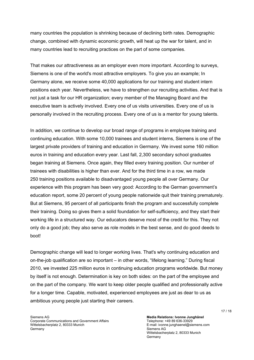many countries the population is shrinking because of declining birth rates. Demographic change, combined with dynamic economic growth, will heat up the war for talent, and in many countries lead to recruiting practices on the part of some companies.

That makes our attractiveness as an employer even more important. According to surveys, Siemens is one of the world's most attractive employers. To give you an example; In Germany alone, we receive some 40,000 applications for our training and student intern positions each year. Nevertheless, we have to strengthen our recruiting activities. And that is not just a task for our HR organization; every member of the Managing Board and the executive team is actively involved. Every one of us visits universities. Every one of us is personally involved in the recruiting process. Every one of us is a mentor for young talents.

In addition, we continue to develop our broad range of programs in employee training and continuing education. With some 10,000 trainees and student interns, Siemens is one of the largest private providers of training and education in Germany. We invest some 160 million euros in training and education every year. Last fall, 2,300 secondary school graduates began training at Siemens. Once again, they filled every training position. Our number of trainees with disabilities is higher than ever. And for the third time in a row, we made 250 training positions available to disadvantaged young people all over Germany. Our experience with this program has been very good: According to the German government's education report, some 20 percent of young people nationwide quit their training prematurely. But at Siemens, 95 percent of all participants finish the program and successfully complete their training. Doing so gives them a solid foundation for self-sufficiency, and they start their working life in a structured way. Our educators deserve most of the credit for this. They not only do a good job; they also serve as role models in the best sense, and do good deeds to boot!

Demographic change will lead to longer working lives. That's why continuing education and on-the-job qualification are so important – in other words, "lifelong learning." During fiscal 2010, we invested 225 million euros in continuing education programs worldwide. But money by itself is not enough. Determination is key on both sides: on the part of the employee and on the part of the company. We want to keep older people qualified and professionally active for a longer time. Capable, motivated, experienced employees are just as dear to us as ambitious young people just starting their careers.